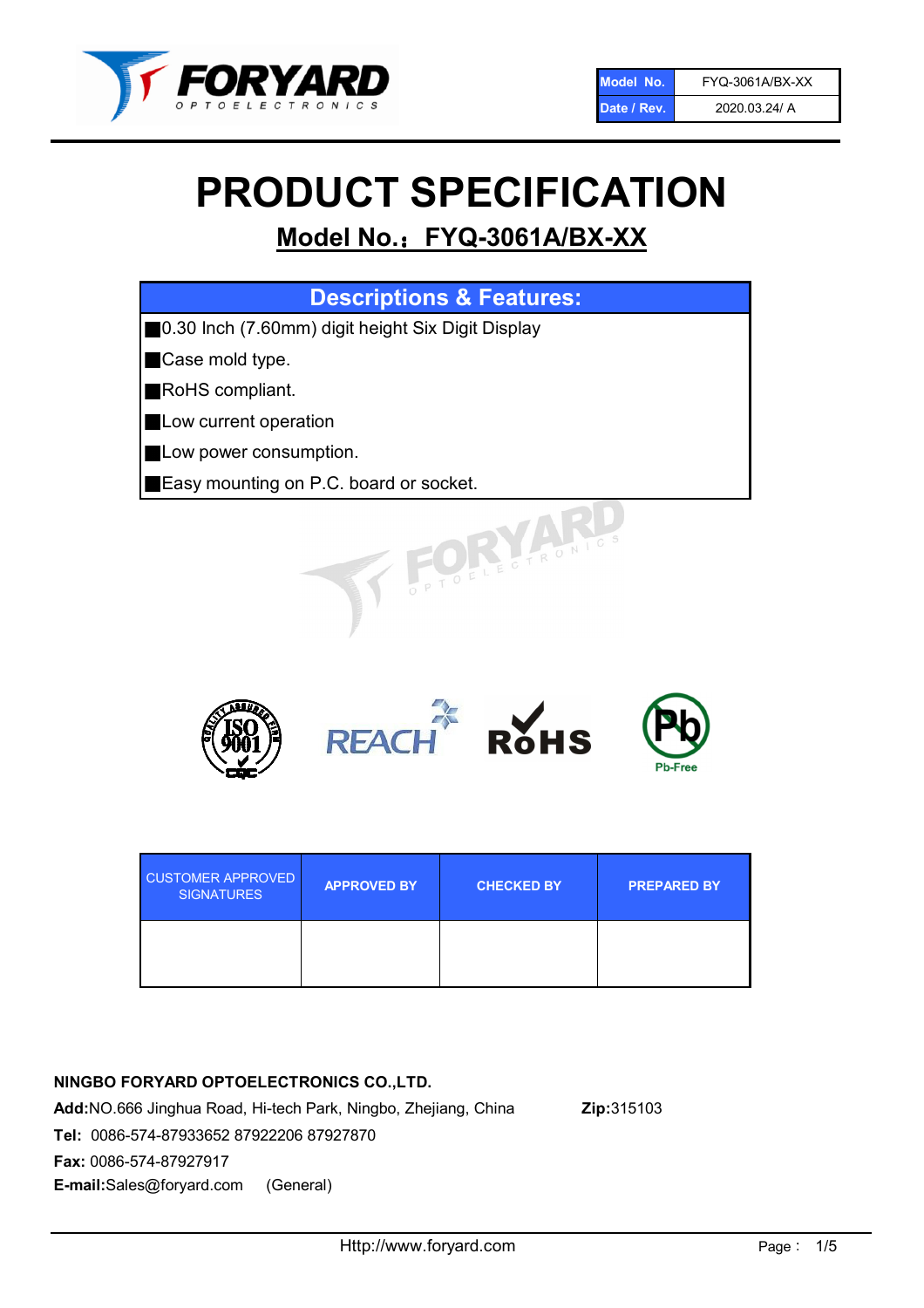

# PRODUCT SPECIFICATION

# Model No.: FYQ-3061A/BX-XX

| <b>Descriptions &amp; Features:</b>               |
|---------------------------------------------------|
| 0.30 Inch (7.60mm) digit height Six Digit Display |
| Case mold type.                                   |
| RoHS compliant.                                   |
| Low current operation                             |
| Low power consumption.                            |
| Easy mounting on P.C. board or socket.            |
| TOELECTRONIC.                                     |



| <b>CUSTOMER APPROVED</b><br><b>SIGNATURES</b> | <b>APPROVED BY</b> | <b>CHECKED BY</b> | <b>PREPARED BY</b> |
|-----------------------------------------------|--------------------|-------------------|--------------------|
|                                               |                    |                   |                    |

# NINGBO FORYARD OPTOELECTRONICS CO.,LTD.

Add:NO.666 Jinghua Road, Hi-tech Park, Ningbo, Zhejiang, China Zip:315103 Tel: 0086-574-87933652 87922206 87927870 Fax: 0086-574-87927917 E-mail:Sales@foryard.com (General)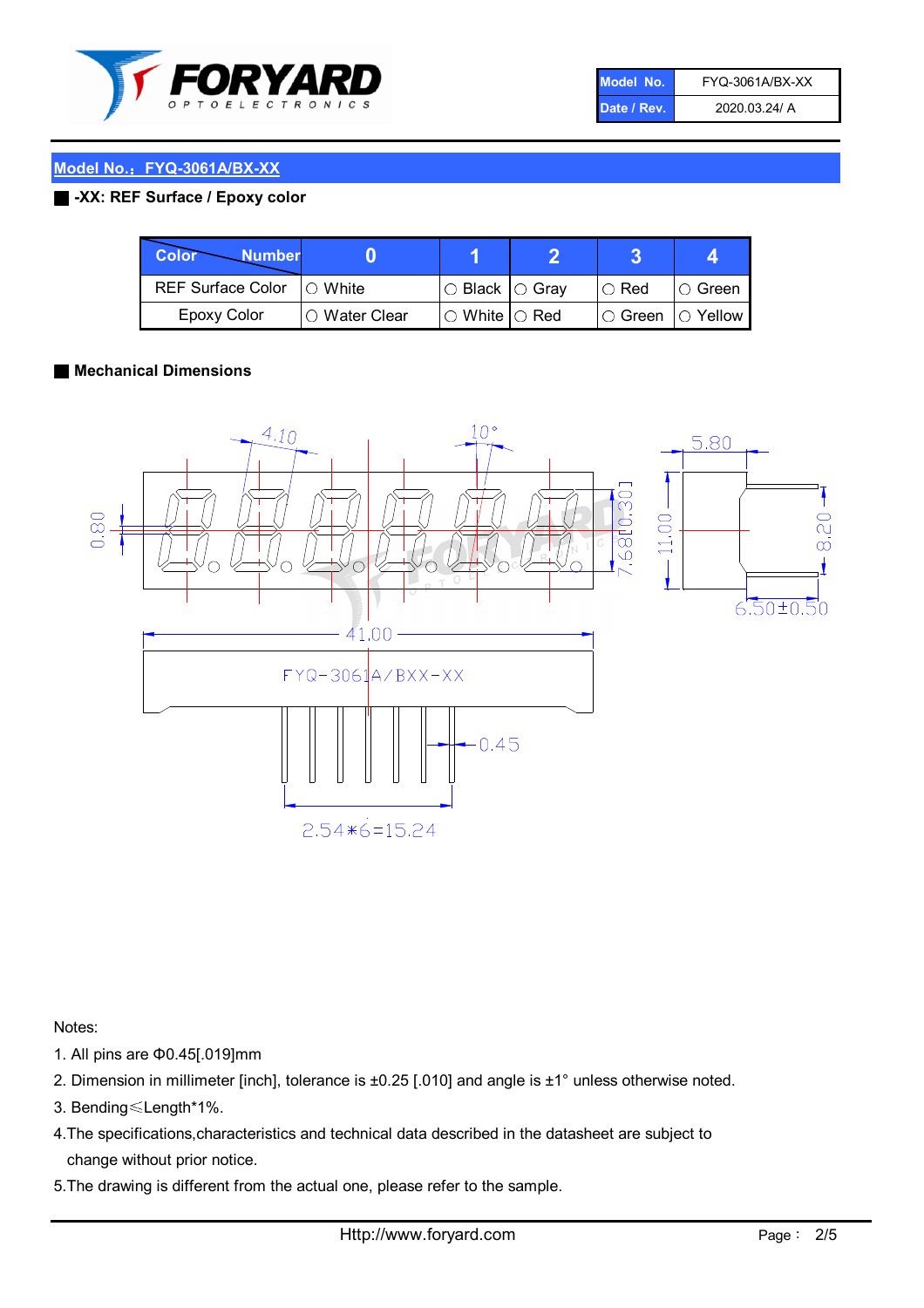

| Model No.   | FYQ-3061A/BX-XX |
|-------------|-----------------|
| Date / Rev. | 2020.03.24/ A   |

### Model No.: FYQ-3061A/BX-XX

#### ■ -XX: REF Surface / Epoxy color

| Color<br><b>Number</b>      |                |                                                   |               |                   |
|-----------------------------|----------------|---------------------------------------------------|---------------|-------------------|
| REF Surface Color   O White |                | $\circ$ Black $\circ$ Gray                        | $\circ$ Red   | $\circ$ Green     |
| Epoxy Color                 | I∩ Water Clear | $\mathbin{\varcap}$ White $\mathbin{\varcap}$ Red | $\circ$ Green | $\bigcirc$ Yellow |

#### ■ Mechanical Dimensions



Notes:

- 1. All pins are Φ0.45[.019]mm
- 2. Dimension in millimeter [inch], tolerance is ±0.25 [.010] and angle is ±1° unless otherwise noted.
- 3. Bending≤Length\*1%.
- 4.The specifications,characteristics and technical data described in the datasheet are subject to change without prior notice.
- 5.The drawing is different from the actual one, please refer to the sample.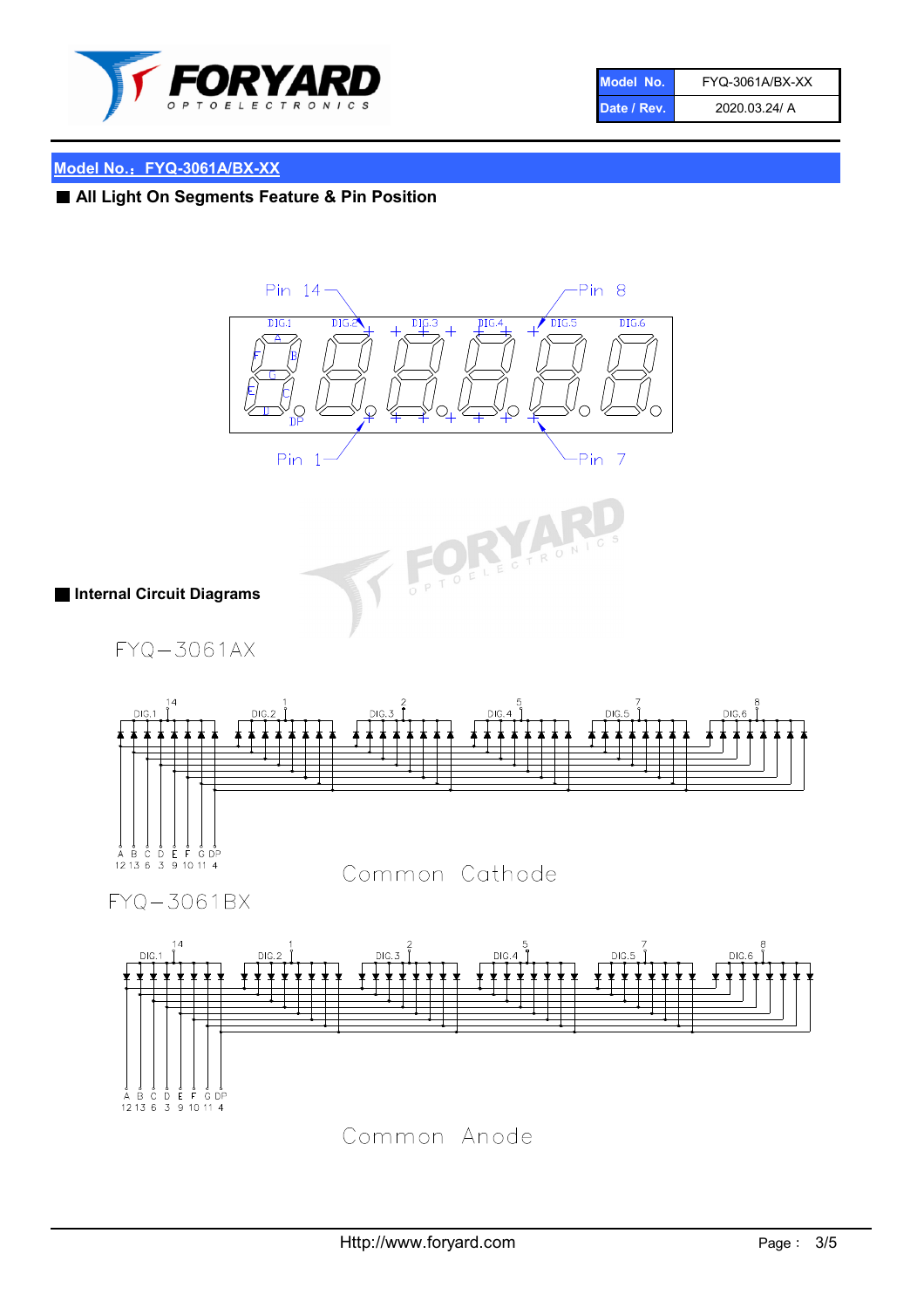

| Model No.   | FYQ-3061A/BX-XX |
|-------------|-----------------|
| Date / Rev. | 2020.03.24/ A   |

# Model No.: FYQ-3061A/BX-XX

■ All Light On Segments Feature & Pin Position





■ Internal Circuit Diagrams

FYQ-3061AX



FYQ-3061BX



Common Anode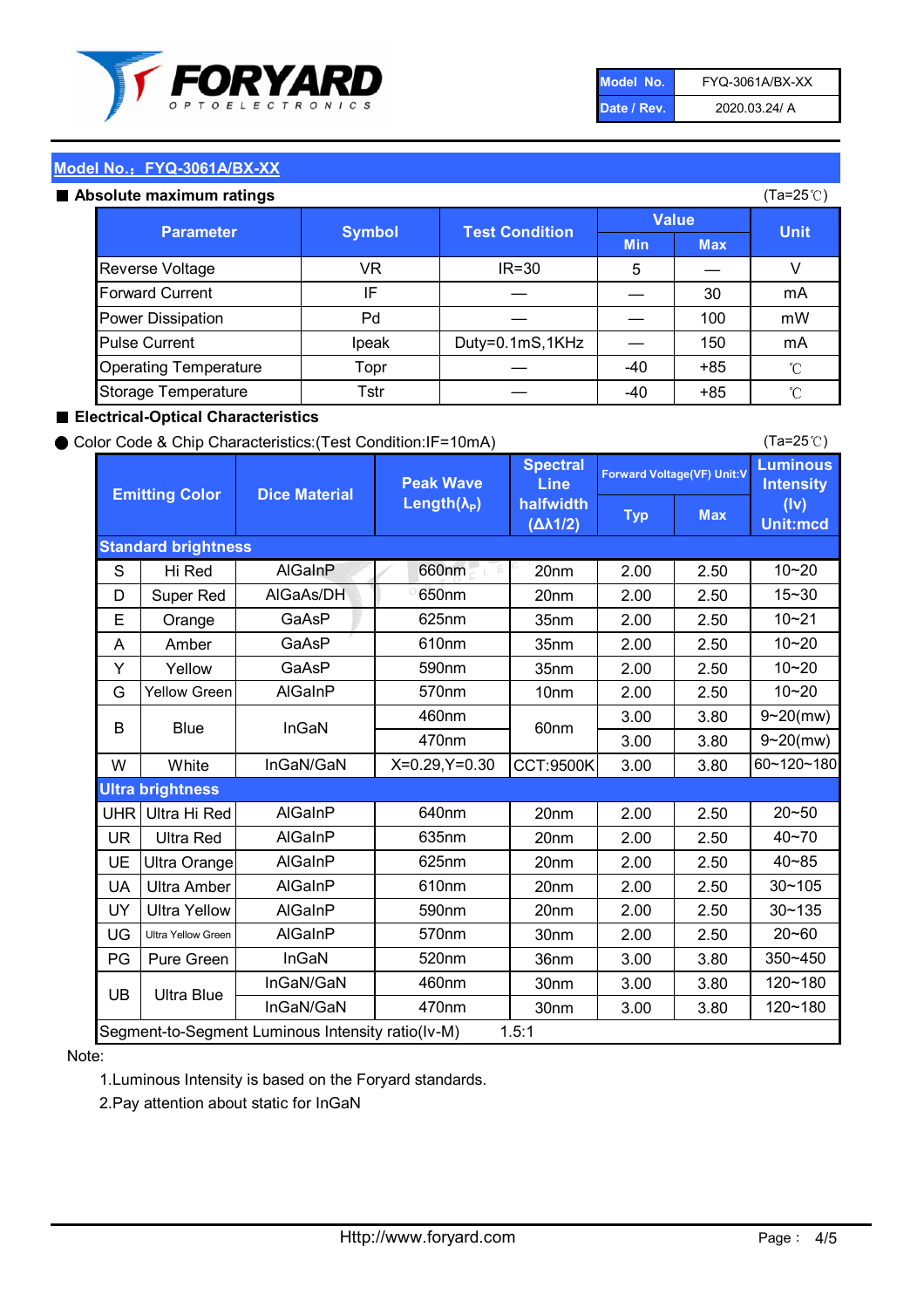

| Model No.   | FYQ-3061A/BX-XX |
|-------------|-----------------|
| Date / Rev. | 2020.03.24/ A   |

(Ta=25℃)

#### Model No.:FYQ-3061A/BX-XX

#### Absolute maximum ratings

| solute maximum ratings       |               |                       |              |            | (Ta=25℃)    |
|------------------------------|---------------|-----------------------|--------------|------------|-------------|
| <b>Parameter</b>             | <b>Symbol</b> | <b>Test Condition</b> | <b>Value</b> |            |             |
|                              |               |                       | <b>Min</b>   | <b>Max</b> | <b>Unit</b> |
| Reverse Voltage              | VR            | $IR = 30$             | 5            |            |             |
| <b>Forward Current</b>       | IF            |                       |              | 30         | mA          |
| Power Dissipation            | Pd            |                       |              | 100        | mW          |
| <b>Pulse Current</b>         | Ipeak         | Duty=0.1mS,1KHz       |              | 150        | mA          |
| <b>Operating Temperature</b> | Topr          |                       | $-40$        | $+85$      | °C          |
| Storage Temperature          | Tstr          |                       | -40          | $+85$      | °C          |

#### ■ Electrical-Optical Characteristics

#### ● Color Code & Chip Characteristics:(Test Condition:IF=10mA)

Typ Max S | Hi $\textsf{Red}$  | AlGaInP | 660nm LE 20nm | 2.00 | 2.50 D | Super Red | AIGaAs/DH | 650nm | 20nm | 2.00 | 2.50 E | Orange | GaAsP | 625nm | 35nm | 2.00 | 2.50 A | Amber | GaAsP | 610nm | 35nm | 2.00 | 2.50 Y | Yellow | GaAsP | 590nm | 35nm | 2.00 | 2.50 G Yellow Green AIGaInP | 570nm | 10nm | 2.00 | 2.50 3.00 3.80 3.00 3.80 W | White | InGaN/GaN | X=0.29,Y=0.30 |CCT:9500K| 3.00 | 3.80 UHR Ultra Hi Red  $\vert$  AIGaInP  $\vert$  640nm  $\vert$  20nm  $\vert$  2.00  $\vert$  2.50 UR | Ultra Red | AlGaInP | 635nm | 20nm | 2.00 | 2.50 UE Ultra Orange | AIGaInP | 625nm | 20nm | 2.00 | 2.50 UA Ultra Amber | AIGaInP | 610nm | 20nm | 2.00 | 2.50  $UV$  Ultra Yellow  $\vert$  AlGaInP  $\vert$  590nm  $\vert$  20nm  $\vert$  2.00  $\vert$  2.50  $\text{UG}$  Ultra Yellow Green | AIGaInP | 570nm | 30nm | 2.00 | 2.50 PG | Pure Green | InGaN | 520nm | 36nm | 3.00 | 3.80 30nm 3.00 3.80 30nm 3.00 3.80 10~20 Standard brightness Forward Voltage(VF) Unit:V 15~30 10~20 10~20 625nm GaAsP 590nm **Emitting Color Dice Material** 10~21 610nm Luminous **Intensity** (Iv) Unit:mcd AlGainP 660nm GaAsP GaAsP AlGaAs/DH **Spectral** Line halfwidth (∆λ1/2) Peak Wave Length $(\lambda_{\rm P})$ UB 460nm 635nm AlGaInP AlGaInP AlGaInP InGaN/GaN AlGaInP | 570nm | 10nm | 2.00 | 2.50 | 10~20 30~105 30~135 460nm 520nm Ultra brightness **AlGaInP** AlGaInP 60nm AlGaInP 640nm Segment-to-Segment Luminous Intensity ratio(Iv-M) 1.5:1 610nm 9~20(mw) 350~450 470nm 120~180 120~180 Ultra Blue InGaN/GaN 9~20(mw) 20~50 570nm | 30nm | 2.00 | 2.50 | 20~60 470nm 590nm InGaN/GaN B Blue I InGaN 40~85 60~120~180 40~70

#### Note:

1.Luminous Intensity is based on the Foryard standards.

2.Pay attention about static for InGaN